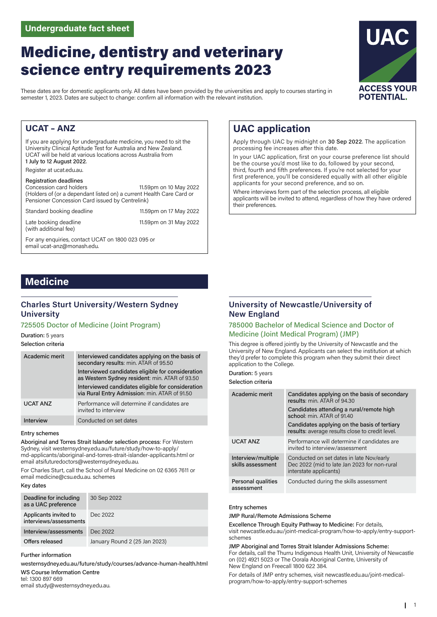# Medicine, dentistry and veterinary science entry requirements 2023

These dates are for domestic applicants only. All dates have been provided by the universities and apply to courses starting in semester 1, 2023. Dates are subject to change: confirm all information with the relevant institution.

# **UCAT – ANZ**

If you are applying for undergraduate medicine, you need to sit the University Clinical Aptitude Test for Australia and New Zealand. UCAT will be held at various locations across Australia from 1 July to 12 August 2022. Register at ucat.edu.au.

Registration deadlines<br>Concession card holders 11.59pm on 10 May 2022 (Holders of (or a dependant listed on) a current Health Care Card or Pensioner Concession Card issued by Centrelink)

Standard booking deadline 11.59pm on 17 May 2022

email ucat-anz@monash.edu.

Late booking deadline 11.59pm on 31 May 2022

(with additional fee)

For any enquiries, contact UCAT on 1800 023 095 or

# **Medicine**

# **Charles Sturt University/Western Sydney University**

### 725505 Doctor of Medicine (Joint Program)

Duration: 5 years

Selection criteria

| Academic merit   | Interviewed candidates applying on the basis of<br>secondary results: min. ATAR of 95.50            |
|------------------|-----------------------------------------------------------------------------------------------------|
|                  | Interviewed candidates eligible for consideration<br>as Western Sydney resident: min. ATAR of 93.50 |
|                  | Interviewed candidates eligible for consideration<br>via Rural Entry Admission: min. ATAR of 91.50  |
| <b>UCAT ANZ</b>  | Performance will determine if candidates are<br>invited to interview                                |
| <b>Interview</b> | Conducted on set dates                                                                              |

#### Entry schemes

Aboriginal and Torres Strait Islander selection process: For Western Sydney, visit westernsydney.edu.au/future/study/how-to-apply/ md-applicants/aboriginal-and-torres-strait-islander-applicants.html or email atsifuturedoctors@westernsydney.edu.au.

For Charles Sturt, call the School of Rural Medicine on 02 6365 7611 or email medicine@csu.edu.au. schemes

#### Key dates

| Deadline for including<br>as a UAC preference   | 30 Sep 2022                   |
|-------------------------------------------------|-------------------------------|
| Applicants invited to<br>interviews/assessments | Dec 2022                      |
| Interview/assessments                           | Dec 2022                      |
| Offers released                                 | January Round 2 (25 Jan 2023) |

#### Further information

westernsydney.edu.au/future/study/courses/advance-human-health.html WS Course Information Centre tel: 1300 897 669

email study@westernsydney.edu.au.

# **University of Newcastle/University of New England**

**UAC application**

their preferences.

processing fee increases after this date.

applicants for your second preference, and so on.

Where interviews form part of the selection process, all eligible applicants will be invited to attend, regardless of how they have ordered

### 785000 Bachelor of Medical Science and Doctor of Medicine (Joint Medical Program) (JMP)

This degree is offered jointly by the University of Newcastle and the University of New England. Applicants can select the institution at which they'd prefer to complete this program when they submit their direct application to the College.

Apply through UAC by midnight on 30 Sep 2022. The application

In your UAC application, first on your course preference list should be the course you'd most like to do, followed by your second, third, fourth and fifth preferences. If you're not selected for your first preference, you'll be considered equally with all other eligible

Duration: 5 years

Selection criteria

| Academic merit                          | Candidates applying on the basis of secondary<br>results: min. ATAR of 94.30                                       |  |
|-----------------------------------------|--------------------------------------------------------------------------------------------------------------------|--|
|                                         | Candidates attending a rural/remote high<br>school: min. ATAR of 91.40                                             |  |
|                                         | Candidates applying on the basis of tertiary<br>results: average results close to credit level.                    |  |
| <b>UCAT ANZ</b>                         | Performance will determine if candidates are<br>invited to interview/assessment                                    |  |
| Interview/multiple<br>skills assessment | Conducted on set dates in late Nov/early<br>Dec 2022 (mid to late Jan 2023 for non-rural<br>interstate applicants) |  |
| Personal qualities<br>assessment        | Conducted during the skills assessment                                                                             |  |

#### Entry schemes

JMP Rural/Remote Admissions Scheme

Excellence Through Equity Pathway to Medicine: For details, visit newcastle.edu.au/joint-medical-program/how-to-apply/entry-supportschemes

#### JMP Aboriginal and Torres Strait Islander Admissions Scheme:

For details, call the Thurru Indigenous Health Unit, University of Newcastle on (02) 4921 5023 or The Oorala Aboriginal Centre, University of New England on Freecall 1800 622 384.

For details of JMP entry schemes, visit newcastle.edu.au/joint-medicalprogram/how-to-apply/entry-support-schemes

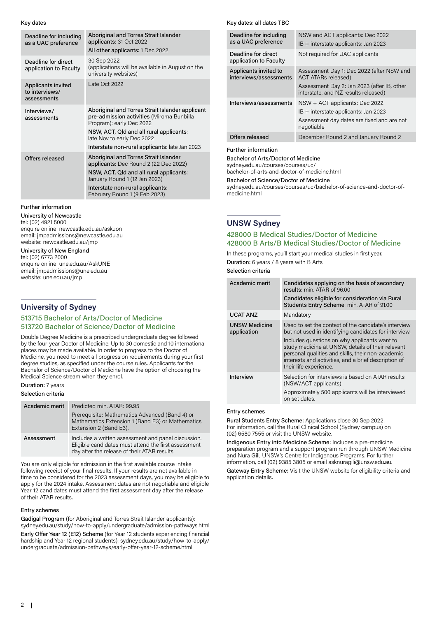Key dates

| Deadline for including<br>as a UAC preference       | Aboriginal and Torres Strait Islander<br>applicants: 31 Oct 2022<br>All other applicants: 1 Dec 2022                                                                                                                                                |
|-----------------------------------------------------|-----------------------------------------------------------------------------------------------------------------------------------------------------------------------------------------------------------------------------------------------------|
| Deadline for direct<br>application to Faculty       | 30 Sep 2022<br>(applications will be available in August on the<br>university websites)                                                                                                                                                             |
| Applicants invited<br>to interviews/<br>assessments | Late Oct 2022                                                                                                                                                                                                                                       |
| Interviews/<br>assessments                          | Aboriginal and Torres Strait Islander applicant<br>pre-admission activities (Miroma Bunbilla<br>Program): early Dec 2022<br>NSW, ACT, Qld and all rural applicants:<br>late Nov to early Dec 2022<br>Interstate non-rural applicants: late Jan 2023 |
|                                                     |                                                                                                                                                                                                                                                     |
| Offers released                                     | Aboriginal and Torres Strait Islander<br>applicants: Dec Round 2 (22 Dec 2022)                                                                                                                                                                      |
|                                                     | NSW, ACT, Qld and all rural applicants:<br>January Round 1 (12 Jan 2023)                                                                                                                                                                            |
|                                                     | Interstate non-rural applicants:<br>February Round 1 (9 Feb 2023)                                                                                                                                                                                   |

#### Further information

University of Newcastle tel: (02) 4921 5000 enquire online: newcastle.edu.au/askuon email: jmpadmissions@newcastle.edu.au website: newcastle.edu.au/jmp

# University of New England

tel: (02) 6773 2000 enquire online: une.edu.au/AskUNE email: jmpadmissions@une.edu.au website: une.edu.au/jmp

### **University of Sydney**

#### 513715 Bachelor of Arts/Doctor of Medicine 513720 Bachelor of Science/Doctor of Medicine

Double Degree Medicine is a prescribed undergraduate degree followed by the four-year Doctor of Medicine. Up to 30 domestic and 10 international places may be made available. In order to progress to the Doctor of Medicine, you need to meet all progression requirements during your first degree studies, as specified under the course rules. Applicants for the Bachelor of Science/Doctor of Medicine have the option of choosing the Medical Science stream when they enrol.

Duration: 7 years

#### Selection criteria

| Academic merit | Predicted min. ATAR: 99.95                                                                                                                                  |  |
|----------------|-------------------------------------------------------------------------------------------------------------------------------------------------------------|--|
|                | Prerequisite: Mathematics Advanced (Band 4) or<br>Mathematics Extension 1 (Band E3) or Mathematics<br>Extension 2 (Band E3).                                |  |
| Assessment     | Includes a written assessment and panel discussion.<br>Eligible candidates must attend the first assessment<br>day after the release of their ATAR results. |  |

You are only eligible for admission in the first available course intake following receipt of your final results. If your results are not available in time to be considered for the 2023 assessment days, you may be eligible to apply for the 2024 intake. Assessment dates are not negotiable and eligible Year 12 candidates must attend the first assessment day after the release of their ATAR results.

#### Entry schemes

Gadigal Program (for Aboriginal and Torres Strait Islander applicants): sydney.edu.au/study/how-to-apply/undergraduate/admission-pathways.html Early Offer Year 12 (E12) Scheme (for Year 12 students experiencing financial hardship and Year 12 regional students): sydney.edu.au/study/how-to-apply/ undergraduate/admission-pathways/early-offer-year-12-scheme.html

#### Key dates: all dates TBC

| Deadline for including<br>as a UAC preference   | NSW and ACT applicants: Dec 2022<br>$IB +$ interstate applicants: Jan 2023                                                                                     |
|-------------------------------------------------|----------------------------------------------------------------------------------------------------------------------------------------------------------------|
| Deadline for direct<br>application to Faculty   | Not required for UAC applicants                                                                                                                                |
| Applicants invited to<br>interviews/assessments | Assessment Day 1: Dec 2022 (after NSW and<br><b>ACT ATARs released)</b><br>Assessment Day 2: Jan 2023 (after IB, other<br>interstate, and NZ results released) |
| Interviews/assessments                          | $NSW + ACT$ applicants: Dec 2022<br>IB + interstate applicants: Jan 2023<br>Assessment day dates are fixed and are not<br>negotiable                           |
| Offers released                                 | December Round 2 and January Round 2                                                                                                                           |

#### Further information

#### Bachelor of Arts/Doctor of Medicine

sydney.edu.au/courses/courses/uc/ bachelor-of-arts-and-doctor-of-medicine.html

#### Bachelor of Science/Doctor of Medicine

sydney.edu.au/courses/courses/uc/bachelor-of-science-and-doctor-ofmedicine.html

### **UNSW Sydney**

### 428000 B Medical Studies/Doctor of Medicine 428000 B Arts/B Medical Studies/Doctor of Medicine

In these programs, you'll start your medical studies in first year.

Duration: 6 years / 8 years with B Arts

Selection criteria

| Academic merit                      | Candidates applying on the basis of secondary<br>results: min. ATAR of 96.00<br>Candidates eligible for consideration via Rural<br>Students Entry Scheme: min. ATAR of 91.00                                                                                                                                                                              |
|-------------------------------------|-----------------------------------------------------------------------------------------------------------------------------------------------------------------------------------------------------------------------------------------------------------------------------------------------------------------------------------------------------------|
| <b>UCAT ANZ</b>                     | Mandatory                                                                                                                                                                                                                                                                                                                                                 |
| <b>UNSW Medicine</b><br>application | Used to set the context of the candidate's interview<br>but not used in identifying candidates for interview.<br>Includes questions on why applicants want to<br>study medicine at UNSW, details of their relevant<br>personal qualities and skills, their non-academic<br>interests and activities, and a brief description of<br>their life experience. |
| Interview                           | Selection for interviews is based on ATAR results<br>(NSW/ACT applicants)<br>Approximately 500 applicants will be interviewed<br>on set dates.                                                                                                                                                                                                            |

#### Entry schemes

Rural Students Entry Scheme: Applications close 30 Sep 2022. For information, call the Rural Clinical School (Sydney campus) on (02) 6580 7555 or visit the UNSW website.

Indigenous Entry into Medicine Scheme: Includes a pre-medicine preparation program and a support program run through UNSW Medicine and Nura Gili, UNSW's Centre for Indigenous Programs. For further information, call (02) 9385 3805 or email asknuragili@unsw.edu.au.

Gateway Entry Scheme: Visit the UNSW website for eligibility criteria and application details.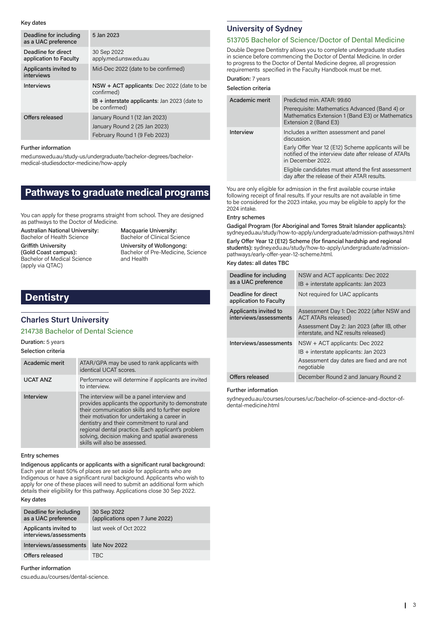Key dates

| Deadline for including<br>as a UAC preference | 5 Jan 2023                                                                                      |
|-----------------------------------------------|-------------------------------------------------------------------------------------------------|
| Deadline for direct<br>application to Faculty | 30 Sep 2022<br>apply.med.unsw.edu.au                                                            |
| Applicants invited to<br>interviews           | Mid-Dec 2022 (date to be confirmed)                                                             |
| <b>Interviews</b>                             | NSW + ACT applicants: Dec 2022 (date to be<br>confirmed)                                        |
|                                               | $IB +$ interstate applicants: Jan 2023 (date to<br>be confirmed)                                |
| Offers released                               | January Round 1 (12 Jan 2023)<br>January Round 2 (25 Jan 2023)<br>February Round 1 (9 Feb 2023) |

#### Further information

med.unsw.edu.au/study-us/undergraduate/bachelor-degrees/bachelormedical-studiesdoctor-medicine/how-apply

# **Pathways to graduate medical programs**

You can apply for these programs straight from school. They are designed as pathways to the Doctor of Medicine.

Australian National University: Bachelor of Health Science

Griffith University (Gold Coast campus): Bachelor of Medical Science (apply via QTAC)

Macquarie University: Bachelor of Clinical Science University of Wollongong: Bachelor of Pre-Medicine, Science and Health

# **Dentistry**

# **Charles Sturt University**

#### 214738 Bachelor of Dental Science

#### Duration: 5 years Selection criteria

| Academic merit  | ATAR/GPA may be used to rank applicants with<br>identical UCAT scores.                                                                                                                                                                                                                                                                                                                         |
|-----------------|------------------------------------------------------------------------------------------------------------------------------------------------------------------------------------------------------------------------------------------------------------------------------------------------------------------------------------------------------------------------------------------------|
| <b>UCAT ANZ</b> | Performance will determine if applicants are invited<br>to interview.                                                                                                                                                                                                                                                                                                                          |
| Interview       | The interview will be a panel interview and<br>provides applicants the opportunity to demonstrate<br>their communication skills and to further explore<br>their motivation for undertaking a career in<br>dentistry and their commitment to rural and<br>regional dental practice. Each applicant's problem<br>solving, decision making and spatial awareness<br>skills will also be assessed. |

#### Entry schemes

Indigenous applicants or applicants with a significant rural background: Each year at least 50% of places are set aside for applicants who are Indigenous or have a significant rural background. Applicants who wish to apply for one of these places will need to submit an additional form which details their eligibility for this pathway. Applications close 30 Sep 2022.

#### Key dates

| Deadline for including<br>as a UAC preference   | 30 Sep 2022<br>(applications open 7 June 2022) |
|-------------------------------------------------|------------------------------------------------|
| Applicants invited to<br>interviews/assessments | last week of Oct 2022                          |
| Interviews/assessments                          | late Nov 2022                                  |
| Offers released                                 | TBC.                                           |

Further information

csu.edu.au/courses/dental-science.

# **University of Sydney**

### 513705 Bachelor of Science/Doctor of Dental Medicine

Double Degree Dentistry allows you to complete undergraduate studies in science before commencing the Doctor of Dental Medicine. In order to progress to the Doctor of Dental Medicine degree, all progression requirements specified in the Faculty Handbook must be met.

# Duration: 7 years

| Selection criteria |  |  |
|--------------------|--|--|
|                    |  |  |

| Academic merit | Predicted min. ATAR: 99.60<br>Prerequisite: Mathematics Advanced (Band 4) or<br>Mathematics Extension 1 (Band E3) or Mathematics<br>Extension 2 (Band E3)                                                                                                                                           |
|----------------|-----------------------------------------------------------------------------------------------------------------------------------------------------------------------------------------------------------------------------------------------------------------------------------------------------|
| Interview      | Includes a written assessment and panel<br>discussion.<br>Early Offer Year 12 (E12) Scheme applicants will be<br>notified of the interview date after release of ATARs<br>in December 2022.<br>Eligible candidates must attend the first assessment<br>day after the release of their ATAR results. |

You are only eligible for admission in the first available course intake following receipt of final results. If your results are not available in time to be considered for the 2023 intake, you may be eligible to apply for the 2024 intake.

#### Entry schemes

Gadigal Program (for Aboriginal and Torres Strait Islander applicants): sydney.edu.au/study/how-to-apply/undergraduate/admission-pathways.html

Early Offer Year 12 (E12) Scheme (for financial hardship and regional students): sydney.edu.au/study/how-to-apply/undergraduate/admissionpathways/early-offer-year-12-scheme.html.

Key dates: all dates TBC

| Deadline for including<br>as a UAC preference   | NSW and ACT applicants: Dec 2022<br>$IB +$ interstate applicants: Jan 2023          |
|-------------------------------------------------|-------------------------------------------------------------------------------------|
| Deadline for direct<br>application to Faculty   | Not required for UAC applicants                                                     |
| Applicants invited to<br>interviews/assessments | Assessment Day 1: Dec 2022 (after NSW and<br><b>ACT ATARs released)</b>             |
|                                                 | Assessment Day 2: Jan 2023 (after IB, other<br>interstate, and NZ results released) |
| Interviews/assessments                          | $NSW + ACT$ applicants: Dec 2022<br>IB + interstate applicants: Jan 2023            |
|                                                 | Assessment day dates are fixed and are not<br>negotiable                            |
| Offers released                                 | December Round 2 and January Round 2                                                |

#### Further information

sydney.edu.au/courses/courses/uc/bachelor-of-science-and-doctor-ofdental-medicine.html